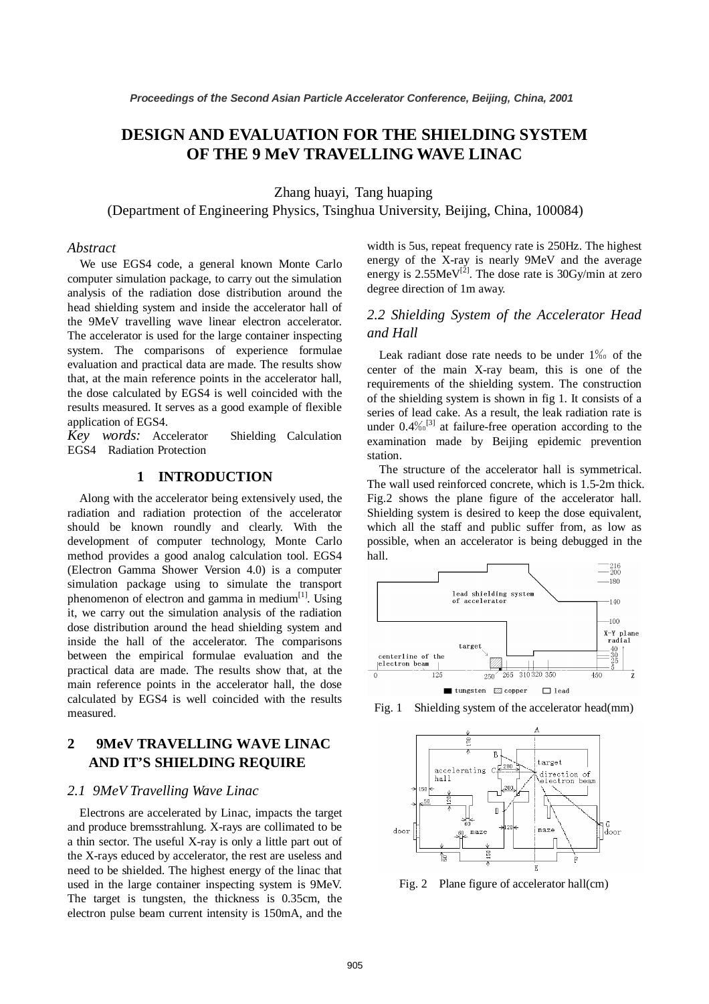# **DESIGN AND EVALUATION FOR THE SHIELDING SYSTEM OF THE 9 MeV TRAVELLING WAVE LINAC**

Zhang huayi, Tang huaping

(Department of Engineering Physics, Tsinghua University, Beijing, China, 100084)

#### *Abstract*

 We use EGS4 code, a general known Monte Carlo computer simulation package, to carry out the simulation analysis of the radiation dose distribution around the head shielding system and inside the accelerator hall of the 9MeV travelling wave linear electron accelerator. The accelerator is used for the large container inspecting system. The comparisons of experience formulae evaluation and practical data are made. The results show that, at the main reference points in the accelerator hall, the dose calculated by EGS4 is well coincided with the results measured. It serves as a good example of flexible application of EGS4.

*Key words:* Accelerator Shielding Calculation EGS4 Radiation Protection

### **1 INTRODUCTION**

Along with the accelerator being extensively used, the radiation and radiation protection of the accelerator should be known roundly and clearly. With the development of computer technology, Monte Carlo method provides a good analog calculation tool. EGS4 (Electron Gamma Shower Version 4.0) is a computer simulation package using to simulate the transport phenomenon of electron and gamma in medium $[1]$ . Using it, we carry out the simulation analysis of the radiation dose distribution around the head shielding system and inside the hall of the accelerator. The comparisons between the empirical formulae evaluation and the practical data are made. The results show that, at the main reference points in the accelerator hall, the dose calculated by EGS4 is well coincided with the results measured.

## **2 9MeV TRAVELLING WAVE LINAC AND IT'S SHIELDING REQUIRE**

#### *2.1 9MeV Travelling Wave Linac*

Electrons are accelerated by Linac, impacts the target and produce bremsstrahlung. X-rays are collimated to be a thin sector. The useful X-ray is only a little part out of the X-rays educed by accelerator, the rest are useless and need to be shielded. The highest energy of the linac that used in the large container inspecting system is 9MeV. The target is tungsten, the thickness is 0.35cm, the electron pulse beam current intensity is 150mA, and the

width is 5us, repeat frequency rate is 250Hz. The highest energy of the X-ray is nearly 9MeV and the average energy is  $2.55MeV^{[2]}$ . The dose rate is  $30Gy/min$  at zero degree direction of 1m away.

### *2.2 Shielding System of the Accelerator Head and Hall*

Leak radiant dose rate needs to be under 1‰ of the center of the main X-ray beam, this is one of the requirements of the shielding system. The construction of the shielding system is shown in fig 1. It consists of a series of lead cake. As a result, the leak radiation rate is under  $0.4\%$ <sup>[3]</sup> at failure-free operation according to the examination made by Beijing epidemic prevention station.

The structure of the accelerator hall is symmetrical. The wall used reinforced concrete, which is 1.5-2m thick. Fig.2 shows the plane figure of the accelerator hall. Shielding system is desired to keep the dose equivalent, which all the staff and public suffer from, as low as possible, when an accelerator is being debugged in the hall.



Fig. 1 Shielding system of the accelerator head(mm)



Fig. 2 Plane figure of accelerator hall(cm)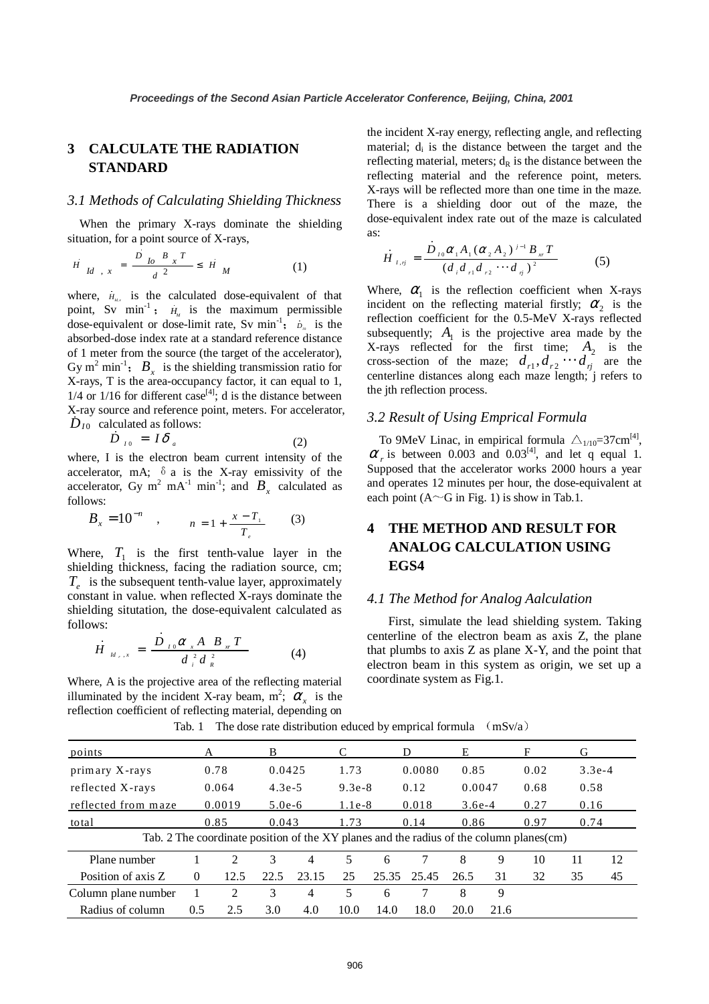## **3 CALCULATE THE RADIATION STANDARD**

#### *3.1 Methods of Calculating Shielding Thickness*

When the primary X-rays dominate the shielding situation, for a point source of X-rays,

$$
H_{Id, x} = \frac{D_{Io} B_x T}{d^2} \le H_M
$$
 (1)  
where,  $H_{u}$  is the calculated dose-equivalent to  
point. Sv min<sup>-1</sup>:  $H$  is the maximum perm-

where,  $H_{\mu}$  is the calculated dose-equivalent of that  $H_{u_x}$  is the calculated dose-equivalent of that<br>v min<sup>-1</sup>;  $H_u$  is the maximum permissible<br>ivalent or dose-limit rate, Sv min<sup>-1</sup>;  $D_{u_x}$  is the<br>-dose index rate at a standard reference distance<br>er from the source (the  $H_{\overrightarrow{Id}^{\prime}}$ ,  $x = \frac{10^{-3} \text{ A}}{d^2} \le$ <br>where,  $H_{\mu_x}$  is the calcular point, Sv min<sup>-1</sup>;  $H_{\mu_x}$  is does equivalent or does limit  $H_{M}$  is the maximum permissible<br>se-limit rate, Sv min<sup>-1</sup>;  $D_{n}$  is the<br>ate at a standard reference distance<br>ource (the target of the accelerator),<br>the shielding transmission ratio for dose-equivalent or dose-limit rate, Sv min<sup>-1</sup>;  $D_{\theta}$ <br>obsorbed dose index rate at a standard reference dose-equivalent or dose-limit rate, Sv min<sup>-1</sup>;  $D_n$  is the absorbed-dose index rate at a standard reference distance of 1 meter from the source (the target of the accelerator), Gy m<sup>2</sup> min<sup>-1</sup>;  $B_x$  is the shielding tran absorbed-dose index rate at a standard reference distance of 1 meter from the source (the target of the accelerator), X-rays, T is the area-occupancy factor, it can equal to 1,  $1/4$  or  $1/16$  for different case<sup>[4]</sup>; d is the distance between X-ray source and reference point, meters. For accelerator,  $D_{I0}$  calculated as follows: !<br>|<br>|

$$
D_{I0} = I \delta_a \tag{2}
$$

 $D_{10} = I \, O_a$  (2)<br>
is the electron beam current intensity<br>
or, mA;  $\delta$  a is the X-ray emissivity<br>
or, Gy m<sup>2</sup> mA<sup>-1</sup> min<sup>-1</sup>; and  $B_x$  calcula<br>  $= 10^{-n}$ ,  $n = 1 + \frac{x - T_1}{x - T_2}$  (3) where, I is the electron beam current intensity of the accelerator, mA;  $\delta$  a is the X-ray emissivity of the accelerator, Gy  $m^2$  mA<sup>-1</sup> min<sup>-1</sup>; and  $B_x$  calculated as follows:  $\begin{bmatrix} 1 & 1 \\ 0 & 0 \\ 0 & 0 \end{bmatrix}$ 

$$
B_x = 10^{-n} , \t n = 1 + \frac{x - T_1}{T_e}
$$
 (3)

Where,  $T_1$  is the first tenth-value layer in the shielding thickness, facing the radiation source, cm; *T<sub>e</sub>* is the subsequent tenth-value layer, approximately constant in value. when reflected X-rays dominate the shielding situtation, the dose-equivalent calculated as follows:

$$
\dot{H}_{ld_{r},x} = \frac{D_{10} \alpha_{x} A B_{rr} T}{d_{i}^{2} d_{R}^{2}}
$$
 (4)

Where, A is the projective area of the reflecting material illuminated by the incident X-ray beam,  $m^2$ ;  $\alpha_x$  is the reflection coefficient of reflecting material, depending on  $\frac{1}{\mu}$   $\frac{1}{\mu}$   $\frac{1}{\mu}$   $\frac{1}{\mu}$  is the producted by the identical on coefficien

the incident X-ray energy, reflecting angle, and reflecting material;  $d_i$  is the distance between the target and the reflecting material, meters;  $d<sub>R</sub>$  is the distance between the reflecting material and the reference point, meters. X-rays will be reflected more than one time in the maze. There is a shielding door out of the maze, the dose-equivalent index rate out of the maze is calculated as:

$$
H_{i,j} = \frac{D_{i0} \alpha_1 A_1 (\alpha_2 A_2)^{j-1} B_{sr} T}{(d_i d_{r1} d_{r2} \cdots d_{rj})^2}
$$
(5)

Where,  $\alpha_1$  is the reflection coefficient when X-rays incident on the reflecting material firstly;  $\alpha_2$  is the  $H_{I,j} = \frac{D_{I0} \alpha_1 A_1 (\alpha_2 A_2)^2 B_{\pi} T}{(d_{\pi} d_{\pi} d_{\pi} \cdots d_{\pi})^2}$  (5)<br>Where,  $\alpha_1$  is the reflection coefficient when X-rays<br>incident on the reflecting material firstly;  $\alpha_2$  is the<br>reflection coefficient for the 0.5subsequently;  $A_1$  is the projective area made by the X-rays reflected for the first time;  $A_2$  is the cross-section of the maze;  $d_{r1}, d_{r2} \cdots d_{ri}$  are the centerline distances along each maze length; j refers to the jth reflection process.

#### *3.2 Result of Using Emprical Formula*

To 9MeV Linac, in empirical formula  $\triangle_{1/10}$ =37cm<sup>[4]</sup>,  $\alpha_r$  is between 0.003 and 0.03<sup>[4]</sup>, and let q equal 1. Supposed that the accelerator works 2000 hours a year and operates 12 minutes per hour, the dose-equivalent at each point  $(A \sim G$  in Fig. 1) is show in Tab.1.

## **4 THE METHOD AND RESULT FOR ANALOG CALCULATION USING EGS4**

#### *4.1 The Method for Analog Aalculation*

First, simulate the lead shielding system. Taking centerline of the electron beam as axis Z, the plane that plumbs to axis  $Z$  as plane  $X-Y$ , and the point that electron beam in this system as origin, we set up a coordinate system as Fig.1.

| points                                                                                  | A        |                | B     |          | C    |          | D      | E        |      | F    | G        |    |  |  |
|-----------------------------------------------------------------------------------------|----------|----------------|-------|----------|------|----------|--------|----------|------|------|----------|----|--|--|
| primary X-rays                                                                          |          | 0.78           |       | 0.0425   |      |          | 0.0080 | 0.85     |      | 0.02 | $3.3e-4$ |    |  |  |
| reflected X-rays                                                                        |          | 0.064          |       | $4.3e-5$ |      | $9.3e-8$ | 0.12   | 0.0047   |      | 0.68 | 0.58     |    |  |  |
| reflected from maze                                                                     |          | 0.0019         |       | $5.0e-6$ |      | $1.1e-8$ | 0.018  | $3.6e-4$ |      | 0.27 | 0.16     |    |  |  |
| total                                                                                   |          | 0.85           | 0.043 |          | 1.73 |          | 0.14   | 0.86     |      | 0.97 | 0.74     |    |  |  |
| Tab. 2 The coordinate position of the XY planes and the radius of the column planes(cm) |          |                |       |          |      |          |        |          |      |      |          |    |  |  |
| Plane number                                                                            |          | $\mathcal{L}$  | 3     | 4        | 5    | 6        |        | 8        | 9    | 10   | 11       | 12 |  |  |
| Position of axis Z                                                                      | $\Omega$ | 12.5           | 22.5  | 23.15    | 25   | 25.35    | 25.45  | 26.5     | 31   | 32   | 35       | 45 |  |  |
| Column plane number                                                                     |          | $\mathfrak{D}$ | 3     | 4        | 5    | 6        |        | 8        | 9    |      |          |    |  |  |
| Radius of column                                                                        | 0.5      | 2.5            | 3.0   | 4.0      | 10.0 | 14.0     | 18.0   | 20.0     | 21.6 |      |          |    |  |  |

Tab. 1 The dose rate distribution educed by emprical formula  $(mSv/a)$